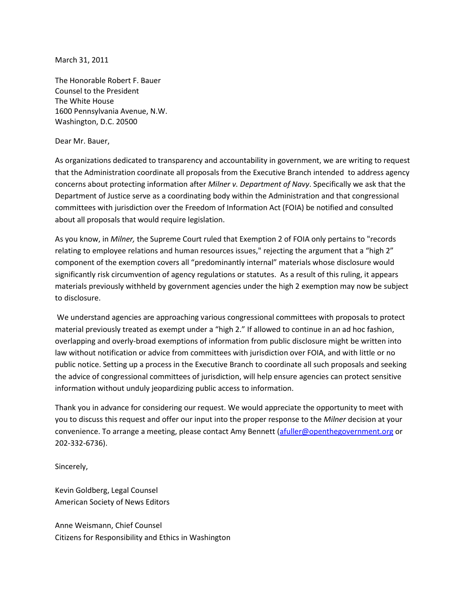March 31, 2011

The Honorable Robert F. Bauer Counsel to the President The White House 1600 Pennsylvania Avenue, N.W. Washington, D.C. 20500

## Dear Mr. Bauer,

As organizations dedicated to transparency and accountability in government, we are writing to request that the Administration coordinate all proposals from the Executive Branch intended to address agency concerns about protecting information after *Milner v. Department of Navy*. Specifically we ask that the Department of Justice serve as a coordinating body within the Administration and that congressional committees with jurisdiction over the Freedom of Information Act (FOIA) be notified and consulted about all proposals that would require legislation.

As you know, in *Milner,* the Supreme Court ruled that Exemption 2 of FOIA only pertains to "records relating to employee relations and human resources issues," rejecting the argument that a "high 2" component of the exemption covers all "predominantly internal" materials whose disclosure would significantly risk circumvention of agency regulations or statutes. As a result of this ruling, it appears materials previously withheld by government agencies under the high 2 exemption may now be subject to disclosure.

We understand agencies are approaching various congressional committees with proposals to protect material previously treated as exempt under a "high 2." If allowed to continue in an ad hoc fashion, overlapping and overly-broad exemptions of information from public disclosure might be written into law without notification or advice from committees with jurisdiction over FOIA, and with little or no public notice. Setting up a process in the Executive Branch to coordinate all such proposals and seeking the advice of congressional committees of jurisdiction, will help ensure agencies can protect sensitive information without unduly jeopardizing public access to information.

Thank you in advance for considering our request. We would appreciate the opportunity to meet with you to discuss this request and offer our input into the proper response to the *Milner* decision at your convenience. To arrange a meeting, please contact Amy Bennett [\(afuller@openthegovernment.org](mailto:afuller@openthegovernment.org) or 202-332-6736).

Sincerely,

Kevin Goldberg, Legal Counsel American Society of News Editors

Anne Weismann, Chief Counsel Citizens for Responsibility and Ethics in Washington